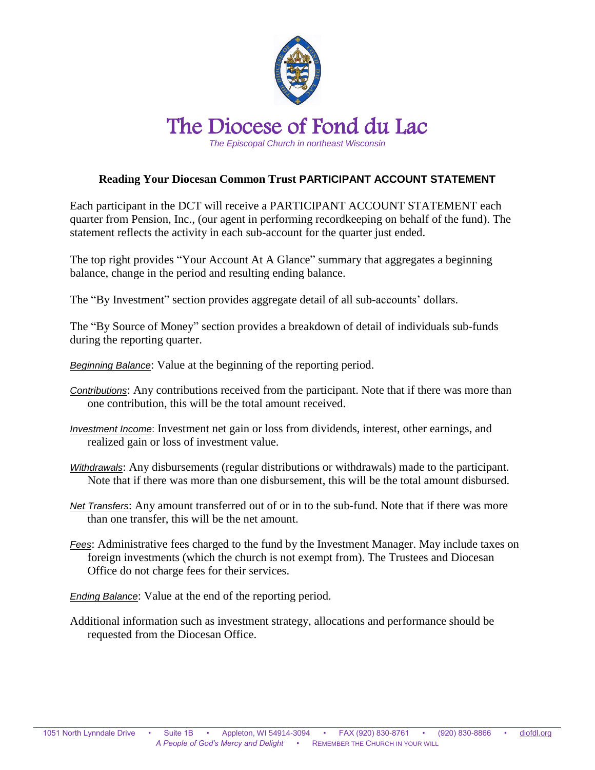

## **Reading Your Diocesan Common Trust PARTICIPANT ACCOUNT STATEMENT**

Each participant in the DCT will receive a PARTICIPANT ACCOUNT STATEMENT each quarter from Pension, Inc., (our agent in performing recordkeeping on behalf of the fund). The statement reflects the activity in each sub-account for the quarter just ended.

The top right provides "Your Account At A Glance" summary that aggregates a beginning balance, change in the period and resulting ending balance.

The "By Investment" section provides aggregate detail of all sub-accounts' dollars.

The "By Source of Money" section provides a breakdown of detail of individuals sub-funds during the reporting quarter.

*Beginning Balance*: Value at the beginning of the reporting period.

- *Contributions*: Any contributions received from the participant. Note that if there was more than one contribution, this will be the total amount received.
- *Investment Income*: Investment net gain or loss from dividends, interest, other earnings, and realized gain or loss of investment value.
- *Withdrawals*: Any disbursements (regular distributions or withdrawals) made to the participant. Note that if there was more than one disbursement, this will be the total amount disbursed.
- *Net Transfers*: Any amount transferred out of or in to the sub-fund. Note that if there was more than one transfer, this will be the net amount.
- *Fees*: Administrative fees charged to the fund by the Investment Manager. May include taxes on foreign investments (which the church is not exempt from). The Trustees and Diocesan Office do not charge fees for their services.

*Ending Balance*: Value at the end of the reporting period.

Additional information such as investment strategy, allocations and performance should be requested from the Diocesan Office.